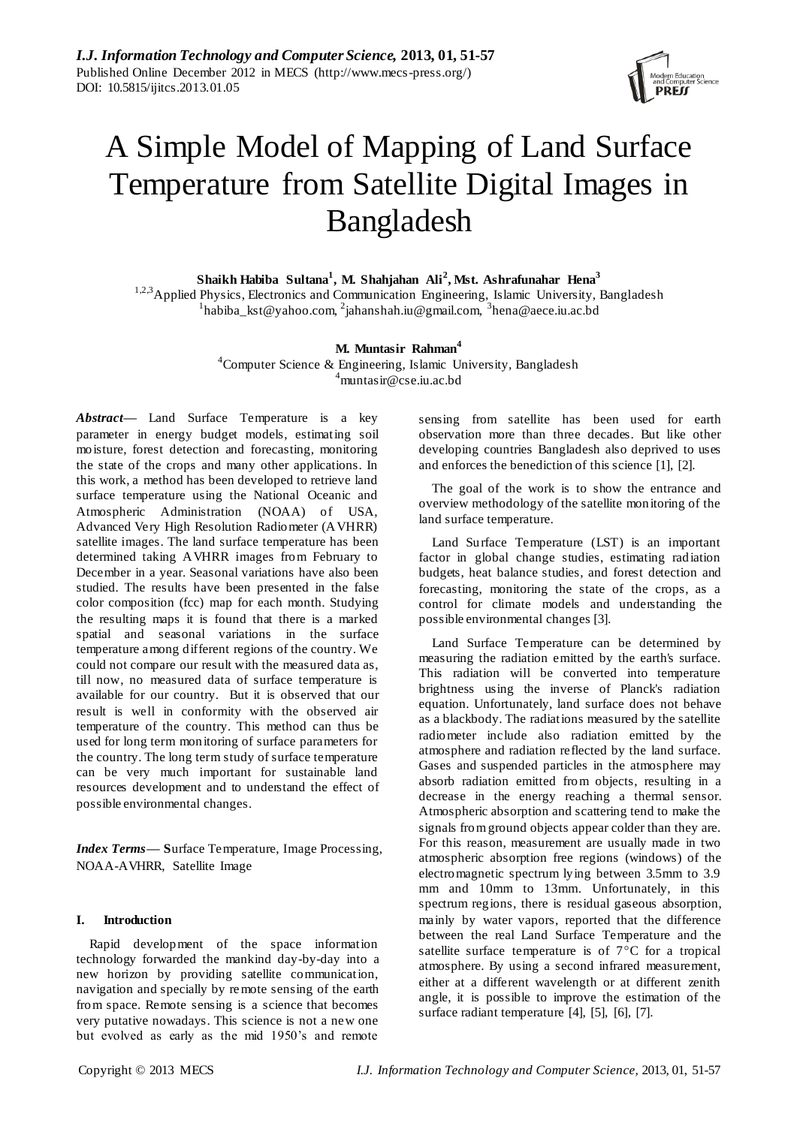

# A Simple Model of Mapping of Land Surface Temperature from Satellite Digital Images in Bangladesh

**Shaikh Habiba Sultana<sup>1</sup> , M. Shahjahan Ali<sup>2</sup> , Mst. Ashrafunahar Hena<sup>3</sup>**

<sup>1,2,3</sup>Applied Physics, Electronics and Communication Engineering, Islamic University, Bangladesh  $^{1}$ habiba\_kst@yahoo.com,  $^{2}$ jahanshah.iu@gmail.com,  $^{3}$ hena@aece.iu.ac.bd

# **M. Muntasir Rahman<sup>4</sup>**

<sup>4</sup>Computer Science & Engineering, Islamic University, Bangladesh  $^{4}$ muntasir@cse.iu.ac.bd

*Abstract***—** Land Surface Temperature is a key parameter in energy budget models, estimating soil moisture, forest detection and forecasting, monitoring the state of the crops and many other applications. In this work, a method has been developed to retrieve land surface temperature using the National Oceanic and Atmospheric Administration (NOAA) of USA, Advanced Very High Resolution Radiometer (AVHRR) satellite images. The land surface temperature has been determined taking AVHRR images from February to December in a year. Seasonal variations have also been studied. The results have been presented in the false color composition (fcc) map for each month. Studying the resulting maps it is found that there is a marked spatial and seasonal variations in the surface temperature among different regions of the country. We could not compare our result with the measured data as, till now, no measured data of surface temperature is available for our country. But it is observed that our result is well in conformity with the observed air temperature of the country. This method can thus be used for long term monitoring of surface parameters for the country. The long term study of surface temperature can be very much important for sustainable land resources development and to understand the effect of possible environmental changes.

*Index Terms***— S**urface Temperature, Image Processing, NOAA-AVHRR, Satellite Image

## **I. Introduction**

Rapid development of the space information technology forwarded the mankind day-by-day into a new horizon by providing satellite communication, navigation and specially by remote sensing of the earth from space. Remote sensing is a science that becomes very putative nowadays. This science is not a new one but evolved as early as the mid 1950's and remote

sensing from satellite has been used for earth observation more than three decades. But like other developing countries Bangladesh also deprived to uses and enforces the benediction of this science [1], [2].

The goal of the work is to show the entrance and overview methodology of the satellite monitoring of the land surface temperature.

Land Surface Temperature (LST) is an important factor in global change studies, estimating radiation budgets, heat balance studies, and forest detection and forecasting, monitoring the state of the crops, as a control for climate models and understanding the possible environmental changes [3].

Land Surface Temperature can be determined by measuring the radiation emitted by the earth's surface. This radiation will be converted into temperature brightness using the inverse of Planck's radiation equation. Unfortunately, land surface does not behave as a blackbody. The radiations measured by the satellite radiometer include also radiation emitted by the atmosphere and radiation reflected by the land surface. Gases and suspended particles in the atmosphere may absorb radiation emitted from objects, resulting in a decrease in the energy reaching a thermal sensor. Atmospheric absorption and scattering tend to make the signals from ground objects appear colder than they are. For this reason, measurement are usually made in two atmospheric absorption free regions (windows) of the electromagnetic spectrum lying between 3.5mm to 3.9 mm and 10mm to 13mm. Unfortunately, in this spectrum regions, there is residual gaseous absorption, mainly by water vapors, reported that the difference between the real Land Surface Temperature and the satellite surface temperature is of  $7^{\circ}$ C for a tropical atmosphere. By using a second infrared measurement, either at a different wavelength or at different zenith angle, it is possible to improve the estimation of the surface radiant temperature [4], [5], [6], [7].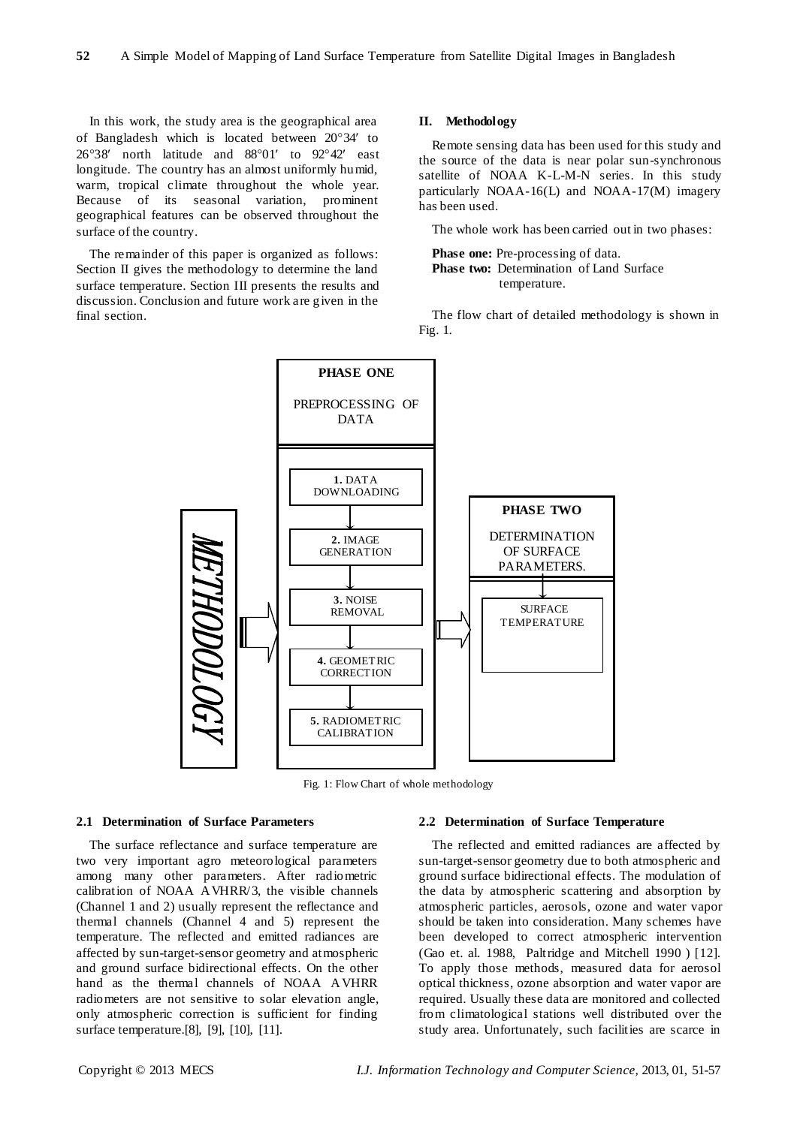In this work, the study area is the geographical area of Bangladesh which is located between 20°34' to  $26°38'$  north latitude and  $88°01'$  to  $92°42'$  east longitude. The country has an almost uniformly humid, warm, tropical climate throughout the whole year. Because of its seasonal variation, prominent geographical features can be observed throughout the surface of the country.

The remainder of this paper is organized as follows: Section II gives the methodology to determine the land surface temperature. Section III presents the results and discussion. Conclusion and future work are given in the final section.

#### **II. Methodology**

Remote sensing data has been used for this study and the source of the data is near polar sun-synchronous satellite of NOAA K-L-M-N series. In this study particularly NOAA-16(L) and NOAA-17(M) imagery has been used.

The whole work has been carried out in two phases:

**Phase one:** Pre-processing of data. **Phase two:** Determination of Land Surface temperature.

The flow chart of detailed methodology is shown in Fig. 1.



Fig. 1: Flow Chart of whole methodology

#### **2.1 Determination of Surface Parameters**

The surface reflectance and surface temperature are two very important agro meteorological parameters among many other parameters. After radiometric calibration of NOAA AVHRR/3, the visible channels (Channel 1 and 2) usually represent the reflectance and thermal channels (Channel 4 and 5) represent the temperature. The reflected and emitted radiances are affected by sun-target-sensor geometry and atmospheric and ground surface bidirectional effects. On the other hand as the thermal channels of NOAA AVHRR radiometers are not sensitive to solar elevation angle, only atmospheric correction is sufficient for finding surface temperature.[8], [9], [10], [11].

#### **2.2 Determination of Surface Temperature**

The reflected and emitted radiances are affected by sun-target-sensor geometry due to both atmospheric and ground surface bidirectional effects. The modulation of the data by atmospheric scattering and absorption by atmospheric particles, aerosols, ozone and water vapor should be taken into consideration. Many schemes have been developed to correct atmospheric intervention (Gao et. al. 1988, Paltridge and Mitchell 1990 ) [12]. To apply those methods, measured data for aerosol optical thickness, ozone absorption and water vapor are required. Usually these data are monitored and collected from climatological stations well distributed over the study area. Unfortunately, such facilities are scarce in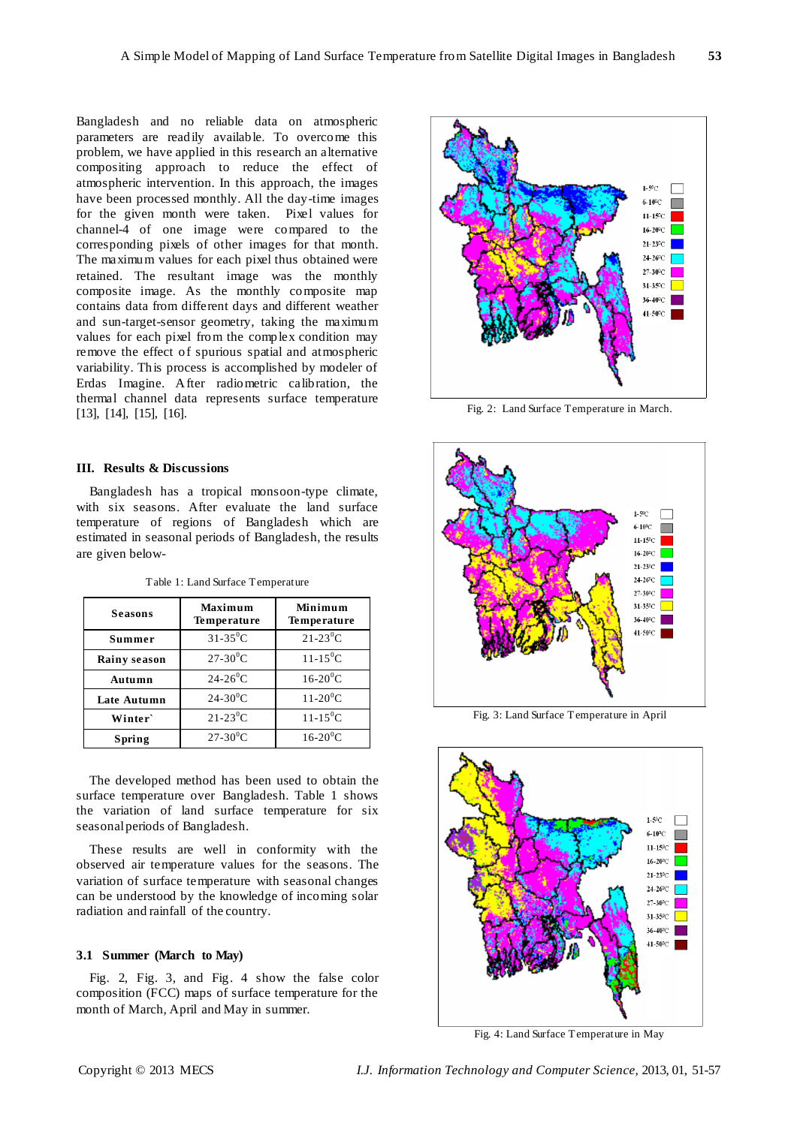Bangladesh and no reliable data on atmospheric parameters are readily available. To overcome this problem, we have applied in this research an alternative compositing approach to reduce the effect of atmospheric intervention. In this approach, the images have been processed monthly. All the day-time images for the given month were taken. Pixel values for channel-4 of one image were compared to the corresponding pixels of other images for that month. The maximum values for each pixel thus obtained were retained. The resultant image was the monthly composite image. As the monthly composite map contains data from different days and different weather and sun-target-sensor geometry, taking the maximum values for each pixel from the complex condition may remove the effect of spurious spatial and atmospheric variability. This process is accomplished by modeler of Erdas Imagine. After radiometric calibration, the thermal channel data represents surface temperature [13], [14], [15], [16].

#### **III. Results & Discussions**

Bangladesh has a tropical monsoon-type climate, with six seasons. After evaluate the land surface temperature of regions of Bangladesh which are estimated in seasonal periods of Bangladesh, the results are given below-

| <b>Seasons</b>      | Maximum<br>Temperature   | Minimum<br><b>Temperature</b> |
|---------------------|--------------------------|-------------------------------|
| Summer              | $31 - 35^0C$             | $21 - 23^{0}C$                |
| <b>Rainy season</b> | $27 - 30^{0}$ C          | $11 - 15^{0}C$                |
| Autumn              | $24 - 26^0C$             | $16-20$ <sup>0</sup> C        |
| Late Autumn         | $24 - 30^0C$             | $11-20$ <sup>0</sup> C        |
| Winter`             | $21 - 23^{0}C$           | $11 - 15^{0}C$                |
| Spring              | $27 - 30$ <sup>0</sup> C | $16-20$ <sup>o</sup> C        |

Table 1: Land Surface Temperature

The developed method has been used to obtain the surface temperature over Bangladesh. Table 1 shows the variation of land surface temperature for six seasonal periods of Bangladesh.

These results are well in conformity with the observed air temperature values for the seasons. The variation of surface temperature with seasonal changes can be understood by the knowledge of incoming solar radiation and rainfall of the country.

## **3.1 Summer (March to May)**

Fig. 2, Fig. 3, and Fig. 4 show the false color composition (FCC) maps of surface temperature for the month of March, April and May in summer.



Fig. 2: Land Surface Temperature in March.



Fig. 3: Land Surface Temperature in April



Fig. 4: Land Surface Temperature in May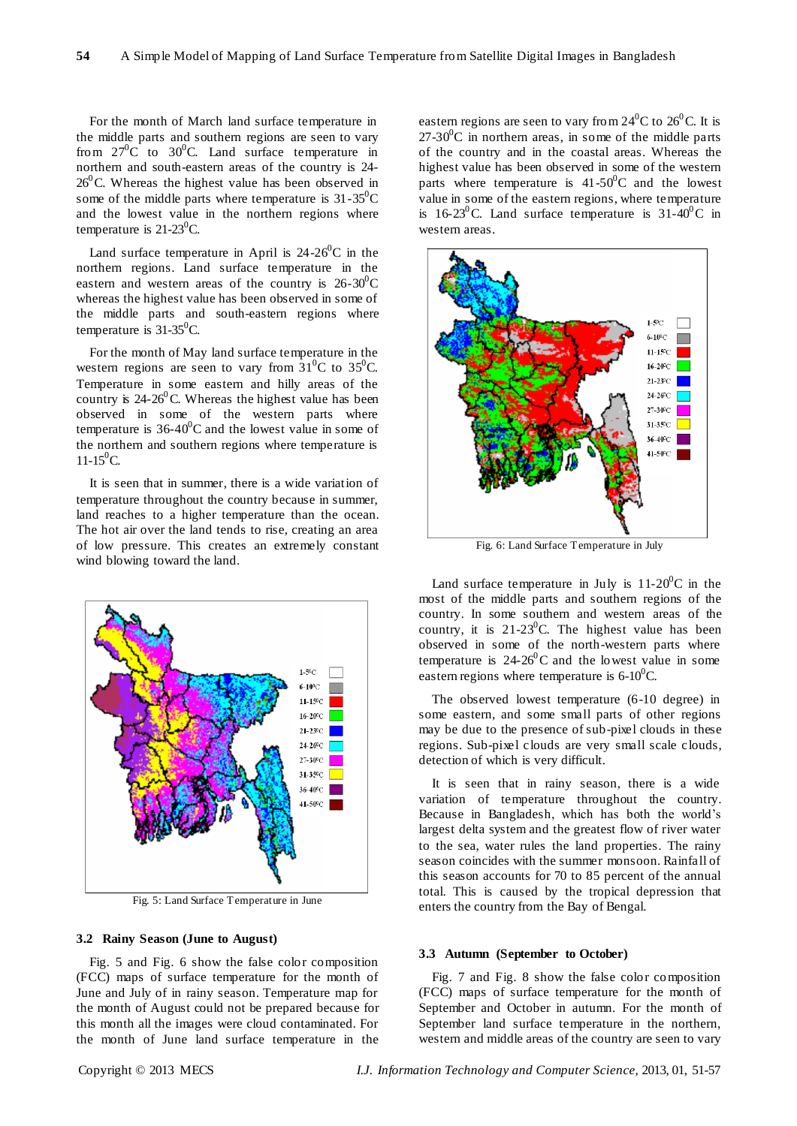For the month of March land surface temperature in the middle parts and southern regions are seen to vary from  $27^0C$  to  $30^0C$ . Land surface temperature in northern and south-eastern areas of the country is 24-  $26^{\circ}$ C. Whereas the highest value has been observed in some of the middle parts where temperature is  $31-35^0C$ and the lowest value in the northern regions where temperature is  $21-23^{\circ}$ C.

Land surface temperature in April is  $24-26^{\circ}$ C in the northern regions. Land surface temperature in the eastern and western areas of the country is  $26-30^0C$ whereas the highest value has been observed in some of the middle parts and south-eastern regions where temperature is  $31-35^{\circ}$ C.

For the month of May land surface temperature in the western regions are seen to vary from  $31^{\circ}$ C to  $35^{\circ}$ C. Temperature in some eastern and hilly areas of the country is  $24-26^{\circ}$ C. Whereas the highest value has been observed in some of the western parts where temperature is  $36-40^{\circ}$ C and the lowest value in some of the northern and southern regions where temperature is  $11-15^0C$ .

It is seen that in summer, there is a wide variation of temperature throughout the country because in summer, land reaches to a higher temperature than the ocean. The hot air over the land tends to rise, creating an area of low pressure. This creates an extremely constant wind blowing toward the land.



Fig. 5: Land Surface Temperature in June

## **3.2 Rainy Season (June to August)**

Fig. 5 and Fig. 6 show the false color composition (FCC) maps of surface temperature for the month of June and July of in rainy season. Temperature map for the month of August could not be prepared because for this month all the images were cloud contaminated. For the month of June land surface temperature in the

eastern regions are seen to vary from  $24<sup>0</sup>C$  to  $26<sup>0</sup>C$ . It is  $27-30$ <sup>o</sup>C in northern areas, in some of the middle parts of the country and in the coastal areas. Whereas the highest value has been observed in some of the western parts where temperature is  $41-50^{\circ}$ C and the lowest value in some of the eastern regions, where temperature is 16-23<sup>°</sup>C. Land surface temperature is  $31-40$ <sup>o</sup>C in western areas.



Fig. 6: Land Surface Temperature in July

Land surface temperature in July is  $11{\text -}20^0$ C in the most of the middle parts and southern regions of the country. In some southern and western areas of the country, it is  $21-23$ <sup>o</sup>C. The highest value has been observed in some of the north-western parts where temperature is  $24-26^{\circ}$ C and the lowest value in some eastern regions where temperature is  $6\text{-}10^0$ C.

The observed lowest temperature (6-10 degree) in some eastern, and some small parts of other regions may be due to the presence of sub-pixel clouds in these regions. Sub-pixel clouds are very small scale clouds, detection of which is very difficult.

It is seen that in rainy season, there is a wide variation of temperature throughout the country. Because in Bangladesh, which has both the world's largest delta system and the greatest flow of river water to the sea, water rules the land properties. The rainy season coincides with the summer monsoon. Rainfall of this season accounts for 70 to 85 percent of the annual total. This is caused by the tropical depression that enters the country from the Bay of Bengal.

#### **3.3 Autumn (September to October)**

Fig. 7 and Fig. 8 show the false color composition (FCC) maps of surface temperature for the month of September and October in autumn. For the month of September land surface temperature in the northern, western and middle areas of the country are seen to vary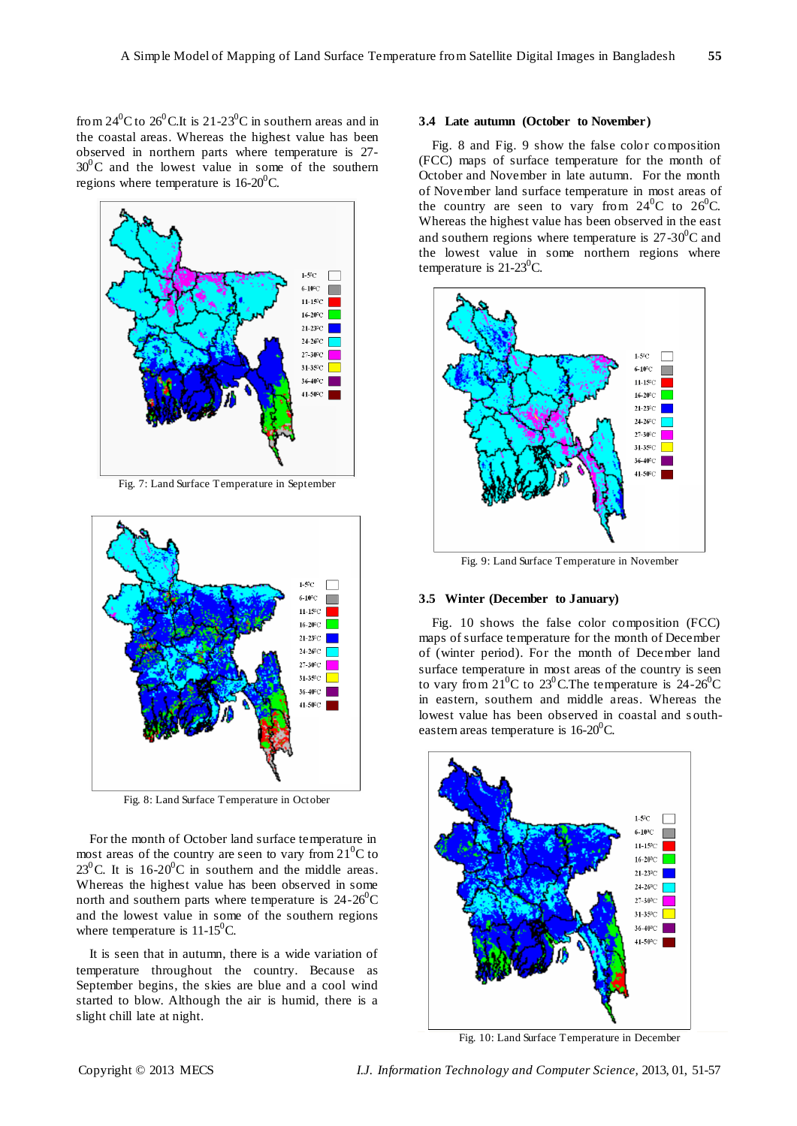from  $24^{0}$ C to  $26^{0}$ C.It is  $21-23^{0}$ C in southern areas and in the coastal areas. Whereas the highest value has been observed in northern parts where temperature is 27-  $30^0$ C and the lowest value in some of the southern regions where temperature is  $16-20^0C$ .



Fig. 7: Land Surface Temperature in September



Fig. 8: Land Surface Temperature in October

For the month of October land surface temperature in most areas of the country are seen to vary from  $21^0C$  to  $23^0$ C. It is 16-20<sup>0</sup>C in southern and the middle areas. Whereas the highest value has been observed in some north and southern parts where temperature is  $24-26^{\circ}\text{C}$ and the lowest value in some of the southern regions where temperature is  $11-15^{\circ}$ C.

It is seen that in autumn, there is a wide variation of temperature throughout the country. Because as September begins, the skies are blue and a cool wind started to blow. Although the air is humid, there is a slight chill late at night.

#### **3.4 Late autumn (October to November)**

Fig. 8 and Fig. 9 show the false color composition (FCC) maps of surface temperature for the month of October and November in late autumn. For the month of November land surface temperature in most areas of the country are seen to vary from  $24^{\circ}$ C to  $26^{\circ}$ C. Whereas the highest value has been observed in the east and southern regions where temperature is  $27\text{-}30^0\text{C}$  and the lowest value in some northern regions where temperature is  $21-23^{\circ}$ C.



Fig. 9: Land Surface Temperature in November

## **3.5 Winter (December to January)**

Fig. 10 shows the false color composition (FCC) maps of surface temperature for the month of December of (winter period). For the month of December land surface temperature in most areas of the country is seen to vary from  $21^{0}$ C to  $23^{0}$ C. The temperature is  $24-26^{0}$ C in eastern, southern and middle areas. Whereas the lowest value has been observed in coastal and southeastern areas temperature is  $16-20^{\circ}$ C.



Fig. 10: Land Surface Temperature in December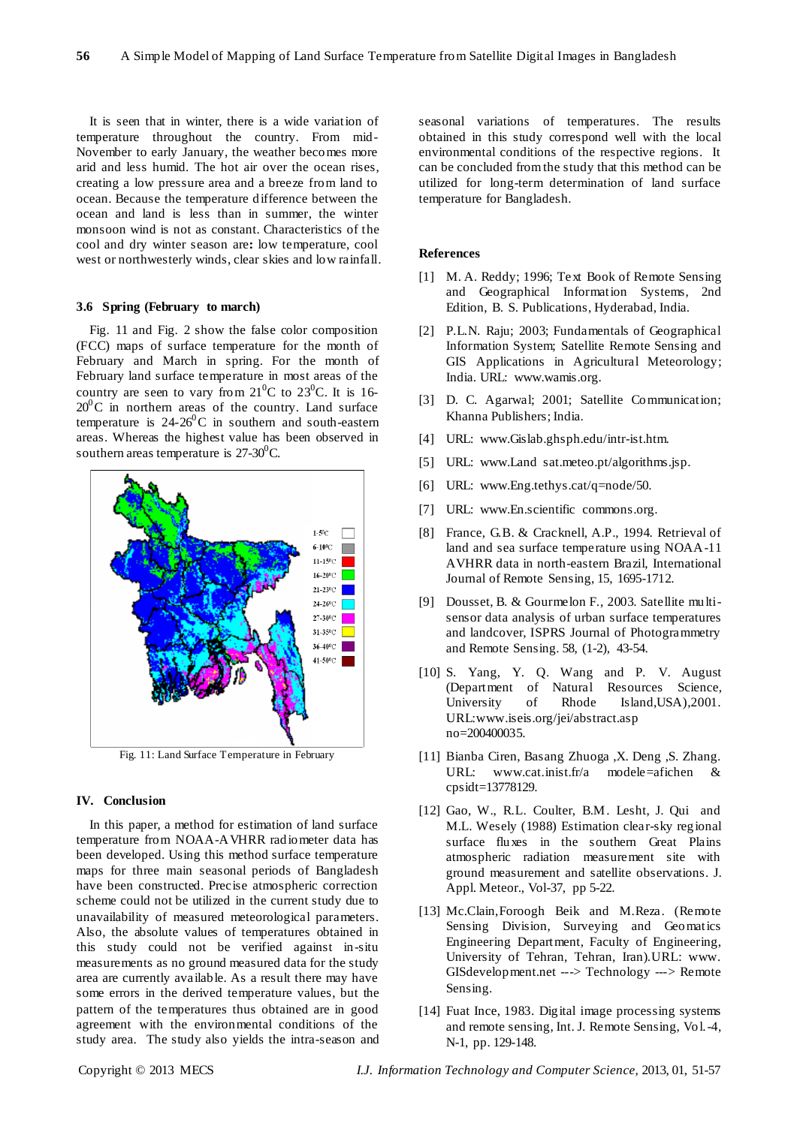It is seen that in winter, there is a wide variation of temperature throughout the country. From mid-November to early January, the weather becomes more arid and less humid. The hot air over the ocean rises, creating a low pressure area and a breeze from land to ocean. Because the temperature difference between the ocean and land is less than in summer, the winter monsoon wind is not as constant. Characteristics of the cool and dry winter season are**:** low temperature, cool west or northwesterly winds, clear skies and low rainfall.

#### **3.6 Spring (February to march)**

Fig. 11 and Fig. 2 show the false color composition (FCC) maps of surface temperature for the month of February and March in spring. For the month of February land surface temperature in most areas of the country are seen to vary from  $21^{\circ}$ C to  $23^{\circ}$ C. It is 16- $20^{\circ}$ C in northern areas of the country. Land surface temperature is  $24-26^{\circ}$ C in southern and south-eastern areas. Whereas the highest value has been observed in southern areas temperature is  $27-30^0C$ .



Fig. 11: Land Surface Temperature in February

## **IV. Conclusion**

In this paper, a method for estimation of land surface temperature from NOAA-AVHRR radiometer data has been developed. Using this method surface temperature maps for three main seasonal periods of Bangladesh have been constructed. Precise atmospheric correction scheme could not be utilized in the current study due to unavailability of measured meteorological parameters. Also, the absolute values of temperatures obtained in this study could not be verified against in-situ measurements as no ground measured data for the study area are currently available. As a result there may have some errors in the derived temperature values, but the pattern of the temperatures thus obtained are in good agreement with the environmental conditions of the study area. The study also yields the intra-season and

seasonal variations of temperatures. The results obtained in this study correspond well with the local environmental conditions of the respective regions. It can be concluded from the study that this method can be utilized for long-term determination of land surface temperature for Bangladesh.

#### **References**

- [1] M. A. Reddy; 1996; Text Book of Remote Sensing and Geographical Information Systems, 2nd Edition, B. S. Publications, Hyderabad, India.
- [2] P.L.N. Raju; 2003; Fundamentals of Geographical Information System; Satellite Remote Sensing and GIS Applications in Agricultural Meteorology; India. URL: www.wamis.org.
- [3] D. C. Agarwal; 2001; Satellite Communication; Khanna Publishers; India.
- [4] URL: www.Gislab.ghsph.edu/intr-ist.htm.
- [5] URL: www.Land sat.meteo.pt/algorithms.jsp.
- [6] URL: www.Eng.tethys.cat/q=node/50.
- [7] URL: www.En.scientific commons.org.
- [8] France, G.B. & Cracknell, A.P., 1994. Retrieval of land and sea surface temperature using NOAA-11 AVHRR data in north-eastern Brazil, International Journal of Remote Sensing, 15, 1695-1712.
- [9] Dousset, B. & Gourmelon F., 2003. Satellite multisensor data analysis of urban surface temperatures and landcover, ISPRS Journal of Photogrammetry and Remote Sensing. 58, (1-2), 43-54.
- [10] S. Yang, Y. Q. Wang and P. V. August (Department of Natural Resources Science, University of Rhode Island,USA),2001. URL:www.iseis.org/jei/abstract.asp no=200400035.
- [11] Bianba Ciren, Basang Zhuoga ,X. Deng ,S. Zhang. URL: www.cat.inist.fr/a modele=afichen & cpsidt=13778129.
- [12] Gao, W., R.L. Coulter, B.M. Lesht, J. Qui and M.L. Wesely (1988) Estimation clear-sky regional surface fluxes in the southern Great Plains atmospheric radiation measurement site with ground measurement and satellite observations. J. Appl. Meteor., Vol-37, pp 5-22.
- [13] Mc.Clain,Foroogh Beik and M.Reza. (Remote Sensing Division, Surveying and Geomatics Engineering Department, Faculty of Engineering, University of Tehran, Tehran, Iran).URL: www. GISdevelopment.net ---> Technology ---> Remote Sensing.
- [14] Fuat Ince, 1983. Digital image processing systems and remote sensing, Int. J. Remote Sensing, Vol.-4, N-1, pp. 129-148.